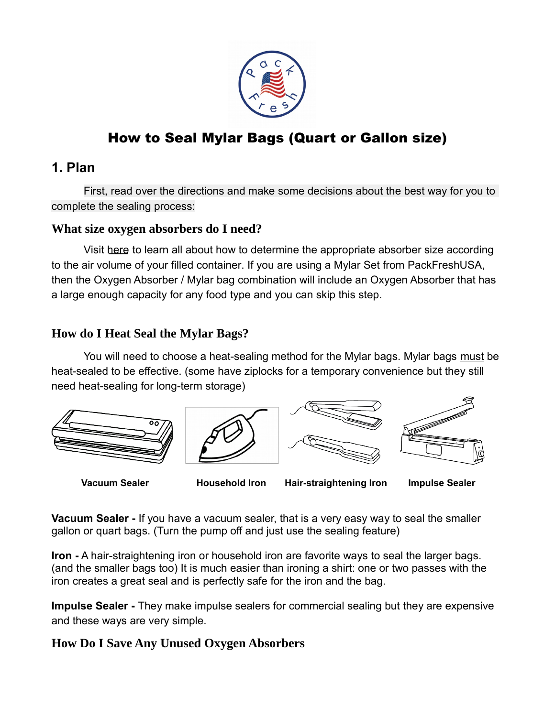

# How to Seal Mylar Bags (Quart or Gallon size)

## **1. Plan**

First, read over the directions and make some decisions about the best way for you to complete the sealing process:

#### **What size oxygen absorbers do I need?**

Visit [here](http://packfreshusa.com/learn/#what-size) to learn all about how to determine the appropriate absorber size according to the air volume of your filled container. If you are using a Mylar Set from PackFreshUSA, then the Oxygen Absorber / Mylar bag combination will include an Oxygen Absorber that has a large enough capacity for any food type and you can skip this step.

#### **How do I Heat Seal the Mylar Bags?**

You will need to choose a heat-sealing method for the Mylar bags. Mylar bags must be heat-sealed to be effective. (some have ziplocks for a temporary convenience but they still need heat-sealing for long-term storage)



Vacuum Sealer **Household Iron** Hair-straightening Iron Impulse Sealer

**Vacuum Sealer -** If you have a vacuum sealer, that is a very easy way to seal the smaller gallon or quart bags. (Turn the pump off and just use the sealing feature)

**Iron** - A hair-straightening iron or household iron are favorite ways to seal the larger bags. (and the smaller bags too) It is much easier than ironing a shirt: one or two passes with the iron creates a great seal and is perfectly safe for the iron and the bag.

**Impulse Sealer -** They make impulse sealers for commercial sealing but they are expensive and these ways are very simple.

#### **How Do I Save Any Unused Oxygen Absorbers**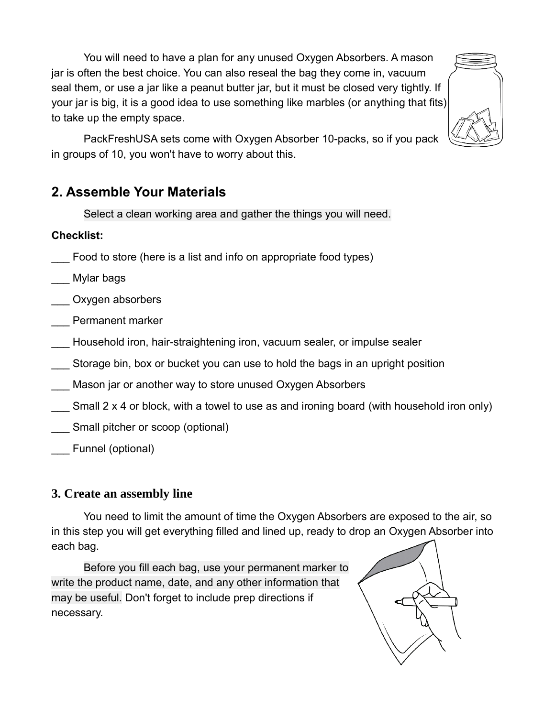You will need to have a plan for any unused Oxygen Absorbers. A mason jar is often the best choice. You can also reseal the bag they come in, vacuum seal them, or use a jar like a peanut butter jar, but it must be closed very tightly. If your jar is big, it is a good idea to use something like marbles (or anything that fits) to take up the empty space.



PackFreshUSA sets come with Oxygen Absorber 10-packs, so if you pack in groups of 10, you won't have to worry about this.

## **2. Assemble Your Materials**

Select a clean working area and gather the things you will need.

#### **Checklist:**

- \_\_\_ Food to store [\(here is a list and info on appropriate food types\)](http://packfreshusa.com/learn/#flts)
- \_\_\_ Mylar bags
- \_\_\_ Oxygen absorbers
- \_\_\_ Permanent marker
- Household iron, hair-straightening iron, vacuum sealer, or impulse sealer
- \_\_\_ Storage bin, box or bucket you can use to hold the bags in an upright position
- Mason jar or another way to store unused Oxygen Absorbers
- Small 2 x 4 or block, with a towel to use as and ironing board (with household iron only)
- Small pitcher or scoop (optional)
- \_\_\_ Funnel (optional)

## **3. Create an assembly line**

You need to limit the amount of time the Oxygen Absorbers are exposed to the air, so in this step you will get everything filled and lined up, ready to drop an Oxygen Absorber into each bag.

Before you fill each bag, use your permanent marker to write the product name, date, and any other information that may be useful. Don't forget to include prep directions if necessary.

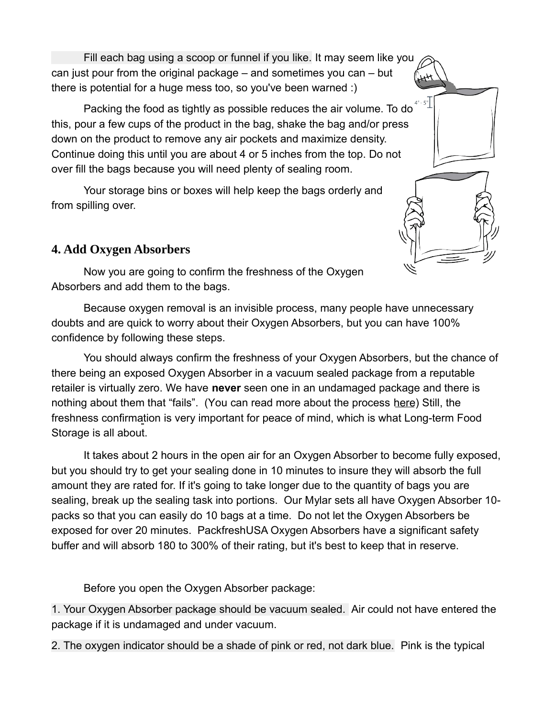Fill each bag using a scoop or funnel if you like. It may seem like you can just pour from the original package – and sometimes you can – but there is potential for a huge mess too, so you've been warned :)

Packing the food as tightly as possible reduces the air volume. To do this, pour a few cups of the product in the bag, shake the bag and/or press down on the product to remove any air pockets and maximize density. Continue doing this until you are about 4 or 5 inches from the top. Do not over fill the bags because you will need plenty of sealing room.

Your storage bins or boxes will help keep the bags orderly and from spilling over.

#### **4. Add Oxygen Absorbers**

Now you are going to confirm the freshness of the Oxygen Absorbers and add them to the bags.

Because oxygen removal is an invisible process, many people have unnecessary doubts and are quick to worry about their Oxygen Absorbers, but you can have 100% confidence by following these steps.

You should always confirm the freshness of your Oxygen Absorbers, but the chance of there being an exposed Oxygen Absorber in a vacuum sealed package from a reputable retailer is virtually zero. We have **never** seen one in an undamaged package and there is nothing about them that "fails". (You can read more about the process [here\)](http://packfreshusa.com/learn/#the-science) Still, the freshness confirmation is very important for peace of mind, which is what Long-term Food Storage is all about.

It takes about 2 hours in the open air for an Oxygen Absorber to become fully exposed, but you should try to get your sealing done in 10 minutes to insure they will absorb the full amount they are rated for. If it's going to take longer due to the quantity of bags you are sealing, break up the sealing task into portions. Our Mylar sets all have Oxygen Absorber 10 packs so that you can easily do 10 bags at a time. Do not let the Oxygen Absorbers be exposed for over 20 minutes. PackfreshUSA Oxygen Absorbers have a significant safety buffer and will absorb 180 to 300% of their rating, but it's best to keep that in reserve.

Before you open the Oxygen Absorber package:

1. Your Oxygen Absorber package should be vacuum sealed. Air could not have entered the package if it is undamaged and under vacuum.

2. The oxygen indicator should be a shade of pink or red, not dark blue. Pink is the typical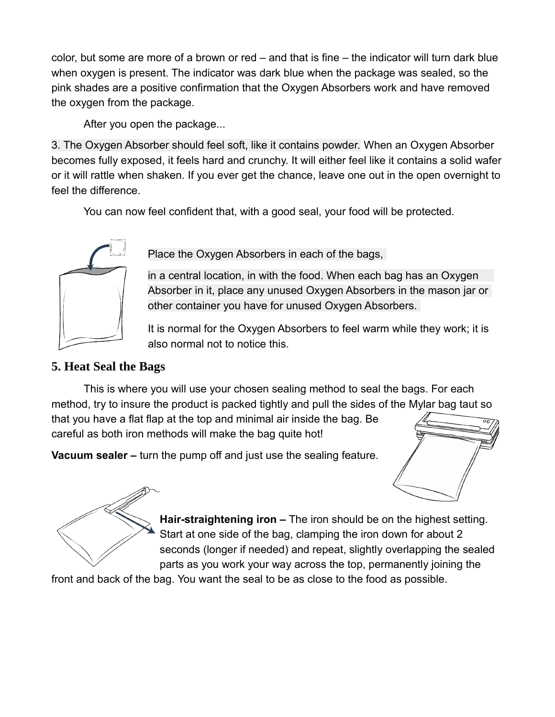color, but some are more of a brown or red – and that is fine – the indicator will turn dark blue when oxygen is present. The indicator was dark blue when the package was sealed, so the pink shades are a positive confirmation that the Oxygen Absorbers work and have removed the oxygen from the package.

After you open the package...

3. The Oxygen Absorber should feel soft, like it contains powder. When an Oxygen Absorber becomes fully exposed, it feels hard and crunchy. It will either feel like it contains a solid wafer or it will rattle when shaken. If you ever get the chance, leave one out in the open overnight to feel the difference.

You can now feel confident that, with a good seal, your food will be protected.



Place the Oxygen Absorbers in each of the bags,

in a central location, in with the food. When each bag has an Oxygen Absorber in it, place any unused Oxygen Absorbers in the mason jar or other container you have for unused Oxygen Absorbers.

It is normal for the Oxygen Absorbers to feel warm while they work; it is also normal not to notice this.

## **5. Heat Seal the Bags**

This is where you will use your chosen sealing method to seal the bags. For each method, try to insure the product is packed tightly and pull the sides of the Mylar bag taut so that you have a flat flap at the top and minimal air inside the bag. Be careful as both iron methods will make the bag quite hot!

**Vacuum sealer –** turn the pump off and just use the sealing feature.



**Hair-straightening iron –** The iron should be on the highest setting. Start at one side of the bag, clamping the iron down for about 2 seconds (longer if needed) and repeat, slightly overlapping the sealed parts as you work your way across the top, permanently joining the

front and back of the bag. You want the seal to be as close to the food as possible.